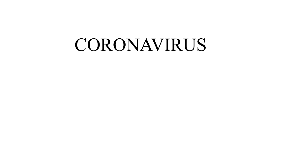# CORONAVIRUS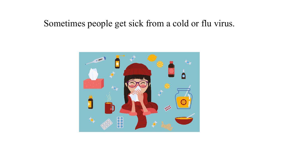### Sometimes people get sick from a cold or flu virus.

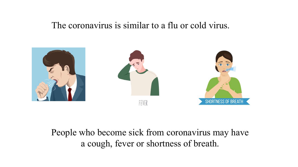#### The coronavirus is similar to a flu or cold virus.



People who become sick from coronavirus may have a cough, fever or shortness of breath.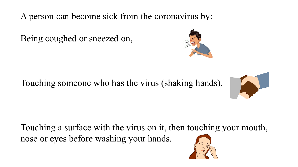A person can become sick from the coronavirus by:

Being coughed or sneezed on,



## Touching someone who has the virus (shaking hands),



Touching a surface with the virus on it, then touching your mouth, nose or eyes before washing your hands.

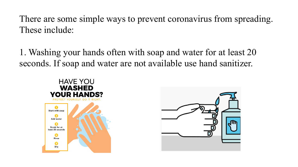There are some simple ways to prevent coronavirus from spreading. These include:

1. Washing your hands often with soap and water for at least 20 seconds. If soap and water are not available use hand sanitizer.

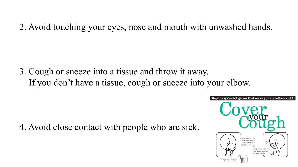2. Avoid touching your eyes, nose and mouth with unwashed hands.

3. Cough or sneeze into a tissue and throw it away. If you don't have a tissue, cough or sneeze into your elbow.

4. Avoid close contact with people who are sick.

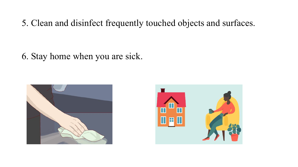5. Clean and disinfect frequently touched objects and surfaces.

6. Stay home when you are sick.



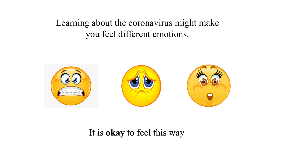Learning about the coronavirus might make you feel different emotions.



#### It is **okay** to feel this way